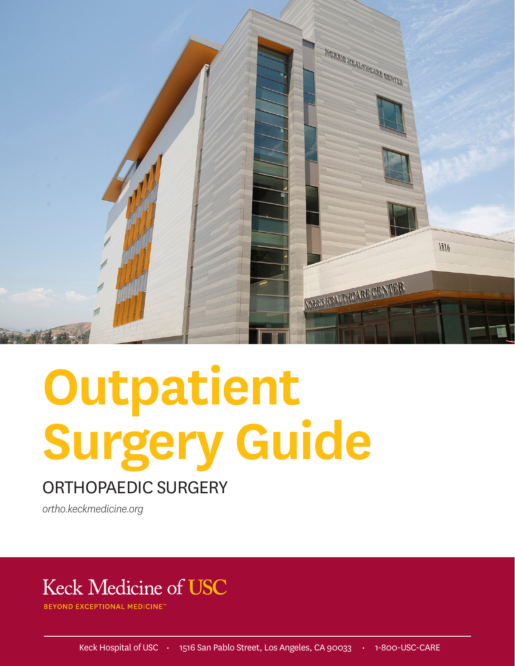

# **Outpatient Surgery Guide**

### ORTHOPAEDIC SURGERY

*ortho.keckmedicine.org*

## **Keck Medicine of USC**

**BEYOND EXCEPTIONAL MEDICINE**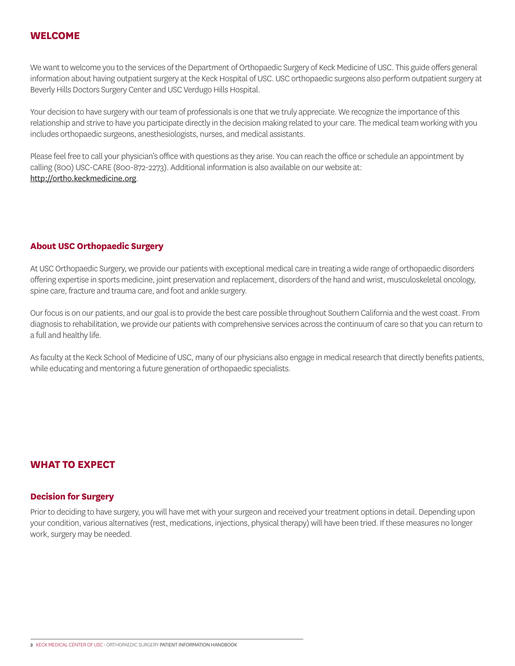#### **WELCOME**

We want to welcome you to the services of the Department of Orthopaedic Surgery of Keck Medicine of USC. This guide offers general information about having outpatient surgery at the Keck Hospital of USC. USC orthopaedic surgeons also perform outpatient surgery at Beverly Hills Doctors Surgery Center and USC Verdugo Hills Hospital.

Your decision to have surgery with our team of professionals is one that we truly appreciate. We recognize the importance of this relationship and strive to have you participate directly in the decision making related to your care. The medical team working with you includes orthopaedic surgeons, anesthesiologists, nurses, and medical assistants.

Please feel free to call your physician's office with questions as they arise. You can reach the office or schedule an appointment by calling (800) USC-CARE (800-872-2273). Additional information is also available on our website at: http://ortho.keckmedicine.org.

#### **About USC Orthopaedic Surgery**

At USC Orthopaedic Surgery, we provide our patients with exceptional medical care in treating a wide range of orthopaedic disorders offering expertise in sports medicine, joint preservation and replacement, disorders of the hand and wrist, musculoskeletal oncology, spine care, fracture and trauma care, and foot and ankle surgery.

Our focus is on our patients, and our goal is to provide the best care possible throughout Southern California and the west coast. From diagnosis to rehabilitation, we provide our patients with comprehensive services across the continuum of care so that you can return to a full and healthy life.

As faculty at the Keck School of Medicine of USC, many of our physicians also engage in medical research that directly benefits patients, while educating and mentoring a future generation of orthopaedic specialists.

#### **WHAT TO EXPECT**

#### **Decision for Surgery**

Prior to deciding to have surgery, you will have met with your surgeon and received your treatment options in detail. Depending upon your condition, various alternatives (rest, medications, injections, physical therapy) will have been tried. If these measures no longer work, surgery may be needed.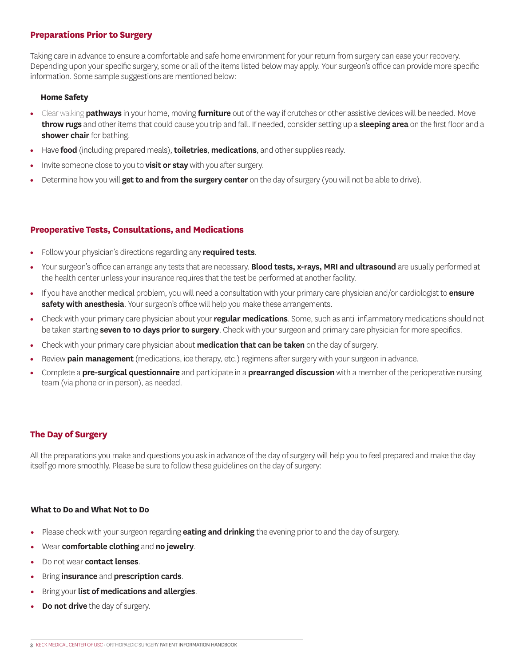#### **Preparations Prior to Surgery**

Taking care in advance to ensure a comfortable and safe home environment for your return from surgery can ease your recovery. Depending upon your specific surgery, some or all of the items listed below may apply. Your surgeon's office can provide more specific information. Some sample suggestions are mentioned below:

#### **Home Safety**

- Clear walking **pathways** in your home, moving **furniture** out of the way if crutches or other assistive devices will be needed. Move **throw rugs** and other items that could cause you trip and fall. If needed, consider setting up a **sleeping area** on the first floor and a **shower chair** for bathing.
- Have **food** (including prepared meals), **toiletries**, **medications**, and other supplies ready.
- Invite someone close to you to **visit or stay** with you after surgery.
- Determine how you will **get to and from the surgery center** on the day of surgery (you will not be able to drive).

#### **Preoperative Tests, Consultations, and Medications**

- Follow your physician's directions regarding any **required tests**.
- Your surgeon's office can arrange any tests that are necessary. **Blood tests, x-rays, MRI and ultrasound** are usually performed at the health center unless your insurance requires that the test be performed at another facility.
- If you have another medical problem, you will need a consultation with your primary care physician and/or cardiologist to **ensure safety with anesthesia**. Your surgeon's office will help you make these arrangements.
- Check with your primary care physician about your **regular medications**. Some, such as anti-inflammatory medications should not be taken starting **seven to 10 days prior to surgery**. Check with your surgeon and primary care physician for more specifics.
- Check with your primary care physician about **medication that can be taken** on the day of surgery.
- Review **pain management** (medications, ice therapy, etc.) regimens after surgery with your surgeon in advance.
- Complete a **pre-surgical questionnaire** and participate in a **prearranged discussion** with a member of the perioperative nursing team (via phone or in person), as needed.

#### **The Day of Surgery**

All the preparations you make and questions you ask in advance of the day of surgery will help you to feel prepared and make the day itself go more smoothly. Please be sure to follow these guidelines on the day of surgery:

#### **What to Do and What Not to Do**

- Please check with your surgeon regarding **eating and drinking** the evening prior to and the day of surgery.
- Wear **comfortable clothing** and **no jewelry**.
- Do not wear **contact lenses**.
- Bring **insurance** and **prescription cards**.
- Bring your **list of medications and allergies**.
- **Do not drive** the day of surgery.

**<sup>3</sup>** KECK MEDICAL CENTER OF USC • ORTHOPAEDIC SURGERY PATIENT INFORMATION HANDBOOK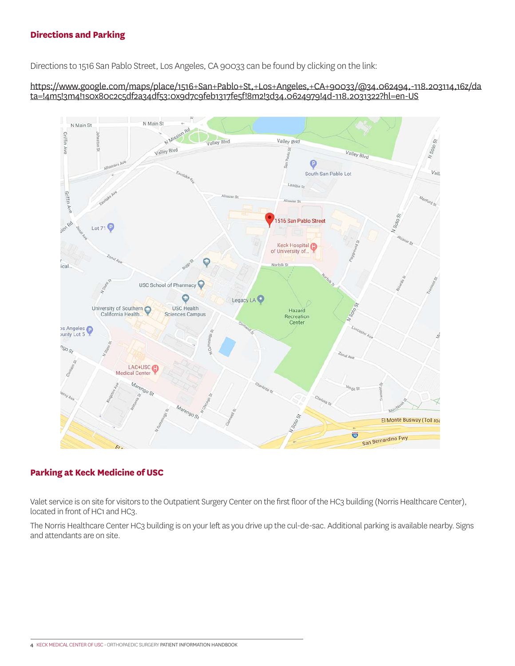#### **Directions and Parking**

Directions to 1516 San Pablo Street, Los Angeles, CA 90033 can be found by clicking on the link:

https://www.google.com/maps/place/1516+San+Pablo+St,+Los+Angeles,+CA+90033/@34.062494,-118.203114,16z/da ta=!4m5!3m4!1s0x80c2c5df2a34df53:0x9d7c9feb1317fe5f!8m2!3d34.0624979!4d-118.2031322?hl=en-US



#### **Parking at Keck Medicine of USC**

Valet service is on site for visitors to the Outpatient Surgery Center on the first floor of the HC3 building (Norris Healthcare Center), located in front of HC1 and HC3.

The Norris Healthcare Center HC3 building is on your left as you drive up the cul-de-sac. Additional parking is available nearby. Signs and attendants are on site.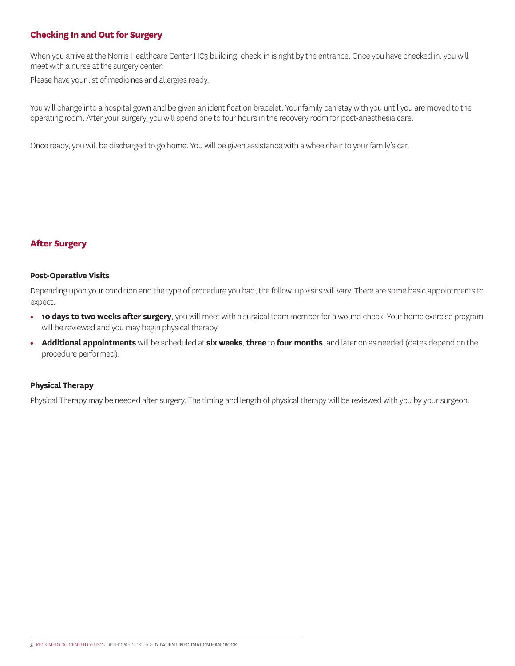#### **Checking In and Out for Surgery**

When you arrive at the Norris Healthcare Center HC3 building, check-in is right by the entrance. Once you have checked in, you will meet with a nurse at the surgery center.

Please have your list of medicines and allergies ready.

You will change into a hospital gown and be given an identification bracelet. Your family can stay with you until you are moved to the operating room. After your surgery, you will spend one to four hours in the recovery room for post-anesthesia care.

Once ready, you will be discharged to go home. You will be given assistance with a wheelchair to your family's car.

#### **After Surgery**

#### **Post-Operative Visits**

Depending upon your condition and the type of procedure you had, the follow-up visits will vary. There are some basic appointments to expect.

- **10 days to two weeks after surgery**, you will meet with a surgical team member for a wound check. Your home exercise program will be reviewed and you may begin physical therapy.
- **Additional appointments** will be scheduled at **six weeks**, **three** to **four months**, and later on as needed (dates depend on the procedure performed).

#### **Physical Therapy**

Physical Therapy may be needed after surgery. The timing and length of physical therapy will be reviewed with you by your surgeon.